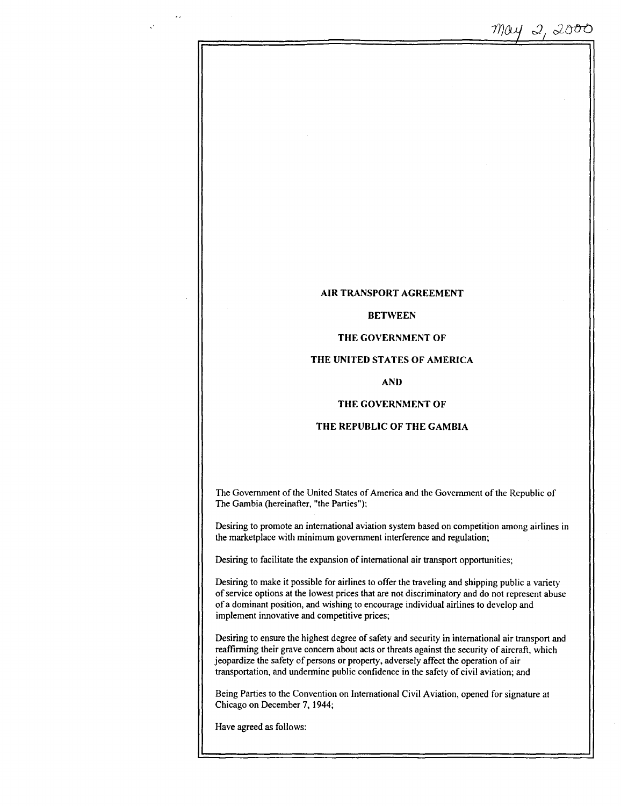May 2, 2000

#### AIR TRANSPORT AGREEMENT

# BETWEEN

# THE GOVERNMENT OF

# THE UNITED STATES OF AMERICA

## AND

# THE GOVERNMENT OF

# THE REPUBLIC OF THE GAMBIA

The Government of the United States of America and the Government of the Republic of The Gambia (hereinafter, "the Parties");

Desiring to promote an international aviation system based on competition among airlines in the marketplace with minimum government interference and regulation;

Desiring to facilitate the expansion of international air transport opportunities;

Desiring to make it possible for airlines to offer the traveling and shipping public a variety of service options at the lowest prices that are not discriminatory and do not represent abuse of a dominant position, and wishing to encourage individual airlines to develop and implement innovative and competitive prices;

Desiring to ensure the highest degree of safety and security in international air transport and reaffirming their grave concern about acts or threats against the security of aircraft, which jeopardize the safety of persons or property, adversely affect the operation of air transportation, and undermine public confidence in the safety of civil aviation ; and

Being Parties to the Convention on International Civil Aviation, opened for signature at Chicago on December 7, 1944;

Have agreed as follows :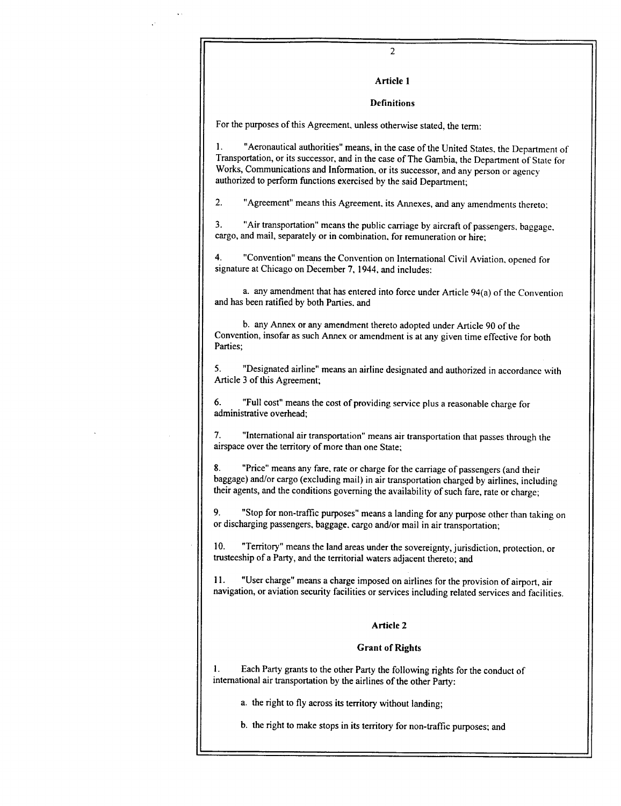#### Article 1

#### Definitions

For the purposes of this Agreement, unless otherwise stated, the term:

1 . "Aeronautical authorities" means, in the case of the United States, the Department of Transportation, or its successor, and in the case of The Gambia, the Department of State for Works, Communications and Information, or its successor, and any person or agency authorized to perform functions exercised by the said Department;

 $2.$ "Agreement" means this Agreement, its Annexes, and any amendments thereto;

3 . "Air transportation" means the public carriage by aircraft of passengers, baggage, cargo, and mail, separately or in combination, for remuneration or hire;

4. "Convention" means the Convention on International Civil Aviation, opened for signature at Chicago on December 7, 1944, and includes:

a. any amendment that has entered into force under Article 94(a) of the Convention and has been ratified by both Parties, and

b. any Annex or any amendment thereto adopted under Article 90 of the Convention, insofar as such Annex or amendment is at any given time effective for both Parties;

5 . "Designated airline" means an airline designated and authorized in accordance with Article 3 of this Agreement;

6 . "Full cost" means the cost of providing service plus a reasonable charge for administrative overhead;

7 . "International air transportation" means air transportation that passes through the airspace over the territory of more than one State ;

8. "Price" means any fare, rate or charge for the carriage of passengers (and their baggage) and/or cargo (excluding mail) in air transportation charged by airlines, including their agents, and the conditions governing the availability of such fare, rate or charge;

 $9<sub>l</sub>$ "Stop for non-traffic purposes" means a landing for any purpose other than taking on or discharging passengers, baggage . cargo and/or mail in air transportation ;

10. "Territory" means the land areas under the sovereignty, jurisdiction, protection, or trusteeship of a Party, and the territorial waters adjacent thereto; and

11 . "User charge" means a charge imposed on airlines for the provision of airport, air navigation, or aviation security facilities or services including related services and facilities .

# Article 2

#### Grant of Rights

I . Each Party grants to the other Party the following rights for the conduct of international air transportation by the airlines of the other Party :

a. the right to fly across its territory without landing;

b. the right to make stops in its territory for non-traffic purposes; and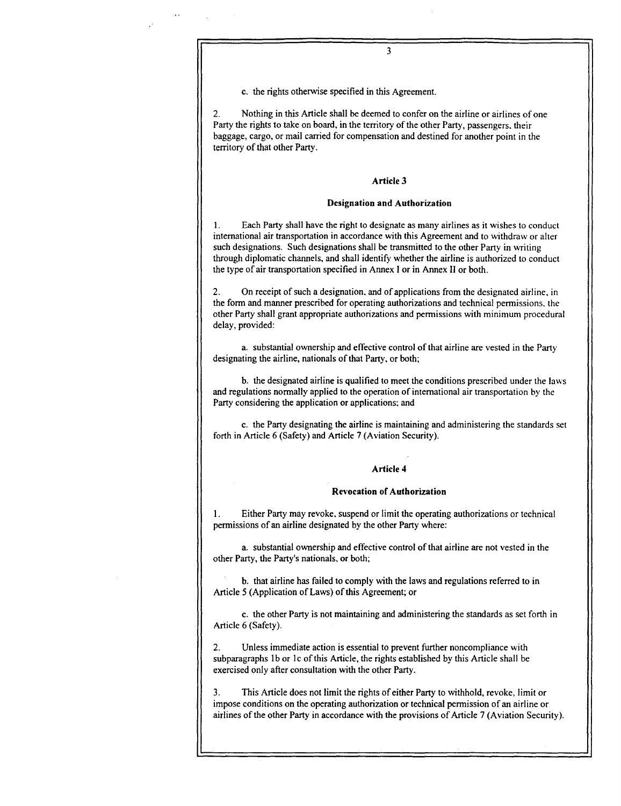c. the rights otherwise specified in this Agreement.

2 . Nothing in this Article shall be deemed to confer on the airline or airlines of one Party the rights to take on board, in the territory of the other Party, passengers, their baggage, cargo, or mail carried for compensation and destined for another point in the territory of that other Party .

3

## Article 3

#### Designation and Authorization

1 . Each Party shall have the right to designate as many airlines as it wishes to conduct international air transportation in accordance with this Agreement and to withdraw or alter such designations . Such designations shall be transmitted to the other Party in writing through diplomatic channels, and shall identify whether the airline is authorized to conduct the type of air transportation specified in Annex I or in Annex 11 or both .

2. On receipt of such a designation, and of applications from the designated airline, in the form and manner prescribed for operating authorizations and technical permissions . the other Party shall grant appropriate authorizations and permissions with minimum procedural delay, provided:

a. substantial ownership and effective control of that airline are vested in the Party designating the airline, nationals of that Party, or both;

b. the designated airline is qualified to meet the conditions prescribed under the laws and regulations normally applied to the operation of international air transportation by the Party considering the application or applications; and

c . the Party designating the airline is maintaining and administering the standards set forth in Article 6 (Safety) and Article 7 (Aviation Security) .

### Article 4

## Revocation of Authorization

1 . Either Party may revoke, suspend or limit the operating authorizations or technical permissions of an airline designated by the other Party where :

a. substantial ownership and effective control of that airline are not vested in the other Party, the Party's nationals, or both ;

b. that airline has failed to comply with the laws and regulations referred to in Article 5 (Application of Laws) of this Agreement; or

c . the other Party is not maintaining and administering the standards as set forth in Article 6 (Safety).

2. Unless immediate action is essential to prevent further noncompliance with subparagraphs lb or Ic of this Article, the rights established by this Article shall be exercised only after consultation with the other Party.

3 . This Article does not limit the rights of either Party to withhold, revoke, limit or impose conditions on the operating authorization or technical permission of an airline or airlines of the other Party in accordance with the provisions of Article 7 (Aviation Security) .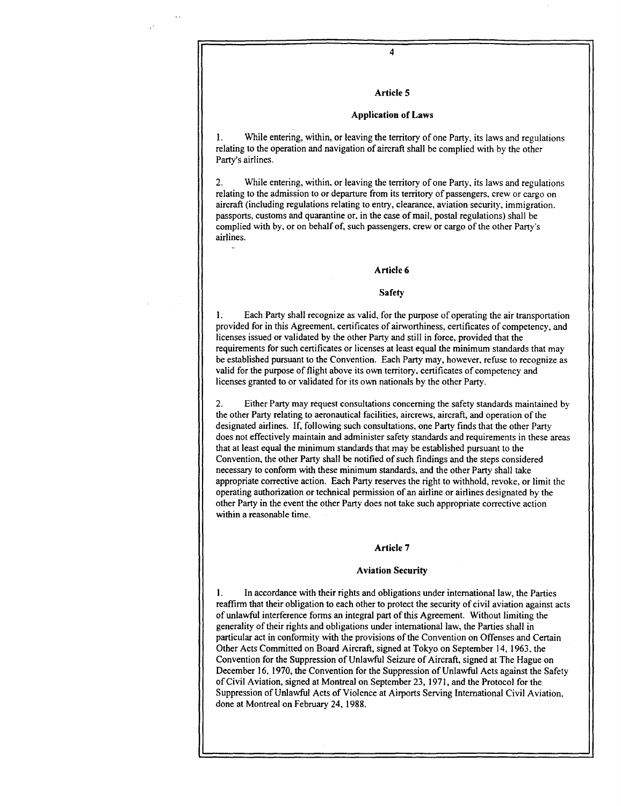# Article 5

### Application of Laws

**1**. While entering, within, or leaving the territory of one Party, its laws and regulations relating to the operation and navigation of aircraft shall be complied with by the other Party's airlines .

 $2.$ While entering, within, or leaving the territory of one Party, its laws and regulations relating to the admission to or departure from its territory of passengers, crew or cargo on aircraft (including regulations relating to entry, clearance, aviation security, immigration, passports, customs and quarantine or, in the case of mail, postal regulations) shall be complied with by, or on behalf of, such passengers, crew or cargo of the other Party's airlines.

# Article 6

#### Safety

**1**. Each Party shall recognize as valid, for the purpose of operating the air transportation provided for in this Agreement, certificates of airworthiness, certificates of competency, and licenses issued or validated by the other Party and still in force, provided that the requirements for such certificates or licenses at least equal the minimum standards that may be established pursuant to the Convention. Each Party may, however, refuse to recognize as valid for the purpose of flight above its own territory, certificates of competency and licenses granted to or validated for its own nationals by the other Party .

2. Either Party may request consultations concerning the safety standards maintained by the other Party relating to aeronautical facilities, aircrews, aircraft, and operation of the designated airlines. If, following such consultations, one Party finds that the other Party does not effectively maintain and administer safety standards and requirements in these areas that at least equal the minimum standards that may be established pursuant to the Convention, the other Party shall be notified of such findings and the steps considered necessary to conform with these minimum standards, and the other Party shall take appropriate corrective action . Each Party reserves the right to withhold, revoke, or limit the operating authorization or technical permission of an airline or airlines designated by the other Party in the event the other Party does not take such appropriate corrective action within a reasonable time.

### Article 7

## Aviation Security

 $\mathbf{1}$ . In accordance with their rights and obligations under international law, the Parties reaffirm that their obligation to each other to protect the security of civil aviation against acts of unlawful interference forms an integral part of this Agreement . Without limiting the generality of their rights and obligations under international law, the Parties shall in particular act in conformity with the provisions of the Convention on Offenses and Certain Other Acts Committed on Board Aircraft, signed at Tokyo on September 14, 1963, the Convention for the Suppression of Unlawful Seizure of Aircraft, signed at The Hague on December 16, 1970, the Convention for the Suppression of Unlawful Acts against the Safety of Civil Aviation, signed at Montreal on September 23, 1971, and the Protocol for the Suppression of Unlawful Acts of Violence at Airports Serving International Civil Aviation, done at Montreal on February 24, 1988 .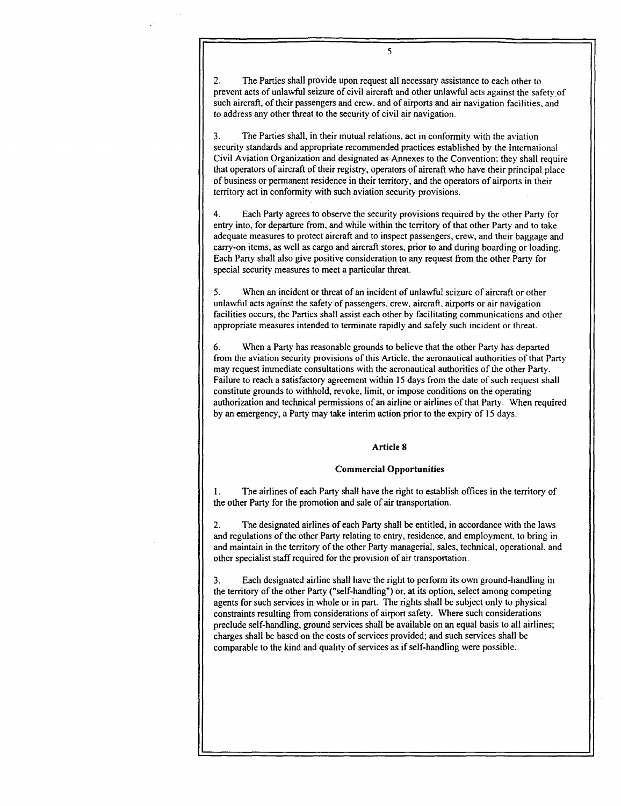2. The Parties shall provide upon request all necessary assistance to each other to prevent acts of unlawful seizure of civil aircraft and other unlawful acts against the safety \* of such aircraft, of their passengers and crew, and of airports and air navigation facilities, and to address any other threat to the security of civil air navigation .

5

3 . The Parties shall, in their mutual relations, act in conformity with the aviation security standards and appropriate recommended practices established by the International Civil Aviation Organization and designated as Annexes to the Convention ; they shall require that operators of aircraft of their registry, operators of aircraft who have their principal place of business or permanent residence in their territory, and the operators of airports in their territory act in conformity with such aviation security provisions .

4. Each Party agrees to observe the security provisions required by the other Party for entry into, for departure from, and while within the territory of that other Party and to take adequate measures to protect aircraft and to inspect passengers, crew, and their baggage and carry-on items, as well as cargo and aircraft stores, prior to and during boarding or loading. Each Party shall also give positive consideration to any request from the other Party for special security measures to meet a particular threat.

5. When an incident or threat of an incident of unlawful seizure of aircraft or other unlawful acts against the safety of passengers, crew, aircraft, airports or air navigation facilities occurs, the Parties shall assist each other by facilitating communications and other appropriate measures intended to terminate rapidly and safely such incident or threat .

6. When a Party has reasonable grounds to believe that the other Party has departed from the aviation security provisions of this Article, the aeronautical authorities of that Party may request immediate consultations with the aeronautical authorities of the other Party . Failure to reach a satisfactory agreement within 15 days from the date of such request shall constitute grounds to withhold, revoke, limit, or impose conditions on the operating authorization and technical permissions of an airline or airlines of that Party . When required by an emergency, a Party may take interim action prior to the expiry of 15 days .

## Article 8

### Commercial Opportunities

I . The airlines of each Party shall have the right to establish offices in the territory of the other Party for the promotion and sale of air transportation.

2. The designated airlines of each Party shall be entitled, in accordance with the laws and regulations of the other Party relating to entry, residence, and employment, to bring in and maintain in the territory of the other Party managerial, sales, technical, operational, and other specialist staff required for the provision of air transportation .

3 . Each designated airline shall have the right to perform its own ground-handling in the territory of the other Party ("self-handling") or, at its option, select among competing agents for such services in whole or in part. The rights shall be subject only to physical constraints resulting from considerations of airport safety . Where such considerations preclude self-handling, ground services shall be available on an equal basis to all airlines ; charges shall be based on the costs of services provided; and such services shall be comparable to the kind and quality of services as if self-handling were possible .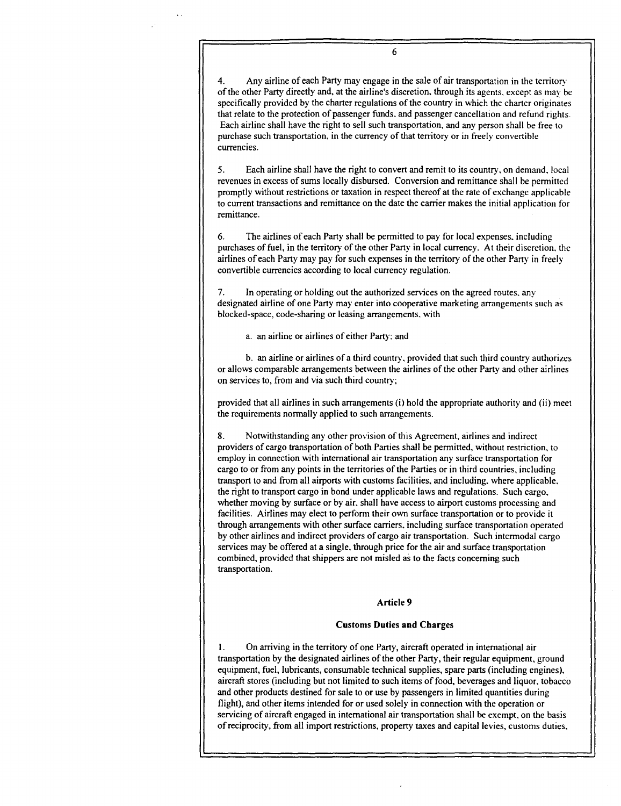$4.$ Any airline of each Party may engage in the sale of air transportation in the territory of the other Party directly and, at the airline's discretion, through its agents, except as may be specifically provided by the charter regulations of the country in which the charter originates that relate to the protection of passenger funds, and passenger cancellation and refund rights . Each airline shall have the right to sell such transportation, and any person shall be free to purchase such transportation, in the currency of that territory or in freely convertible currencies .

6

5 . Each airline shall have the right to convert and remit to its country, on demand, local revenues in excess of sums locally disbursed. Conversion and remittance shall be permitted promptly without restrictions or taxation in respect thereof at the rate of exchange applicable to current transactions and remittance on the date the carrier makes the initial application for remittance.

6. The airlines of each Party shall be permitted to pay for local expenses, including purchases of fuel, in the territory of the other Party in local currency . At their discretion, the airlines of each Party may pay for such expenses in the territory of the other Party in freely convertible currencies according to local currency regulation .

7 . In operating or holding out the authorized services on the agreed routes, any designated airline of one Party may enter into cooperative marketing arrangements such as blocked-space, code-sharing or leasing arrangements. with

a. an airline or airlines of either Party; and

b. an airline or airlines of a third country, provided that such third country authorizes or allows comparable arrangements between the airlines of the other Party and other airlines on services to, from and via such third country;

provided that all airlines in such arrangements (i) hold the appropriate authority and (ii) meet the requirements normally applied to such arrangements .

8. Notwithstanding any other provision of this Agreement, airlines and indirect providers of cargo transportation of both Parties shall be permitted, without restriction, to employ in connection with international air transportation any surface transportation for cargo to or from any points in the territories of the Parties or in third countries, including transport to and from all airports with customs facilities, and including, where applicable, the right to transport cargo in bond under applicable laws and regulations . Such cargo, whether moving by surface or by air, shall have access to airport customs processing and facilities . Airlines may elect to perform their own surface transportation or to provide it through arrangements with other surface carriers, including surface transportation operated by other airlines and indirect providers of cargo air transportation . Such intermodal cargo services may be offered at a single, through price for the air and surface transportation combined, provided that shippers are not misled as to the facts concerning such transportation.

#### Article 9

## Customs Duties and Charges

**1**. On arriving in the territory of one Party, aircraft operated in international air transportation by the designated airlines of the other Party, their regular equipment, ground equipment, fuel, lubricants, consumable technical supplies, spare parts (including engines), aircraft stores (including but not limited to such items of food, beverages and liquor, tobacco and other products destined for sale to or use by passengers in limited quantities during flight), and other items intended for or used solely in connection with the operation or servicing of aircraft engaged in international air transportation shall be exempt, on the basis of reciprocity, from all import restrictions, property taxes and capital levies, customs duties,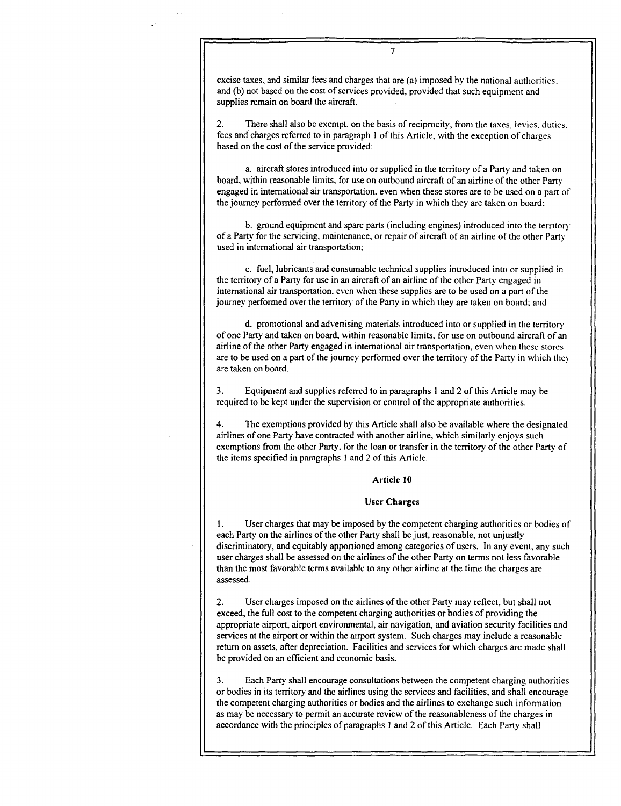excise taxes, and similar fees and charges that are (a) imposed by the national authorities, and (b) not based on the cost of services provided, provided that such equipment and supplies remain on board the aircraft.

7

 $\overline{2}$  . There shall also be exempt, on the basis of reciprocity, from the taxes, levies, duties, fees and charges referred to in paragraph I of this Article, with the exception of charges based on the cost of the service provided :

a. aircraft stores introduced into or supplied in the territory of a Party and taken on board, within reasonable limits, for use on outbound aircraft of an airline of the other Party engaged in international air transportation, even when these stores are to be used on a part of the journey performed over the territory of the Party in which they are taken on board;

b. ground equipment and spare parts (including engines) introduced into the territory of a Party for the servicing, maintenance, or repair of aircraft of an airline of the other Party used in international air transportation;

c. fuel, lubricants and consumable technical supplies introduced into or supplied in the territory of a Party for use in an aircraft of an airline of the other Party engaged in international air transportation, even when these supplies are to be used on a part of the journey performed over the territory of the Party in which they are taken on board; and

d. promotional and advertising materials introduced into or supplied in the territory of one Party and taken on board, within reasonable limits, for use on outbound aircraft of an airline of the other Party engaged in international air transportation, even when these stores are to be used on a part of the journey performed over the territory of the Party in which they are taken on board.

3 . Equipment and supplies referred to in paragraphs I and 2 of this Article may be required to be kept under the supervision or control of the appropriate authorities .

4. The exemptions provided by this Article shall also be available where the designated airlines of one Party have contracted with another airline, which similarly enjoys such exemptions from the other Party, for the loan or transfer in the territory of the other Party of the items specified in paragraphs 1 and 2 of this Article.

Article 10

#### User Charges

 $\mathbf{1}$ . User charges that may be imposed by the competent charging authorities or bodies of each Party on the airlines of the other Party shall be just, reasonable, not unjustly discriminatory, and equitably apportioned among categories of users. In any event, any such user charges shall be assessed on the airlines of the other Party on terms not less favorable than the most favorable terms available to any other airline at the time the charges are assessed .

 $\overline{2}$ . User charges imposed on the airlines of the other Party may reflect, but shall not exceed, the full cost to the competent charging authorities or bodies of providing the appropriate airport, airport environmental, air navigation, and aviation security facilities and services at the airport or within the airport system. Such charges may include a reasonable return on assets, after depreciation. Facilities and services for which charges are made shall be provided on an efficient and economic basis.

 $3<sub>l</sub>$ Each Party shall encourage consultations between the competent charging authorities or bodies in its territory and the airlines using the services and facilities, and shall encourage the competent charging authorities or bodies and the airlines to exchange such information as may be necessary to permit an accurate review of the reasonableness of the charges in accordance with the principles of paragraphs 1 and 2 of this Article. Each Party shall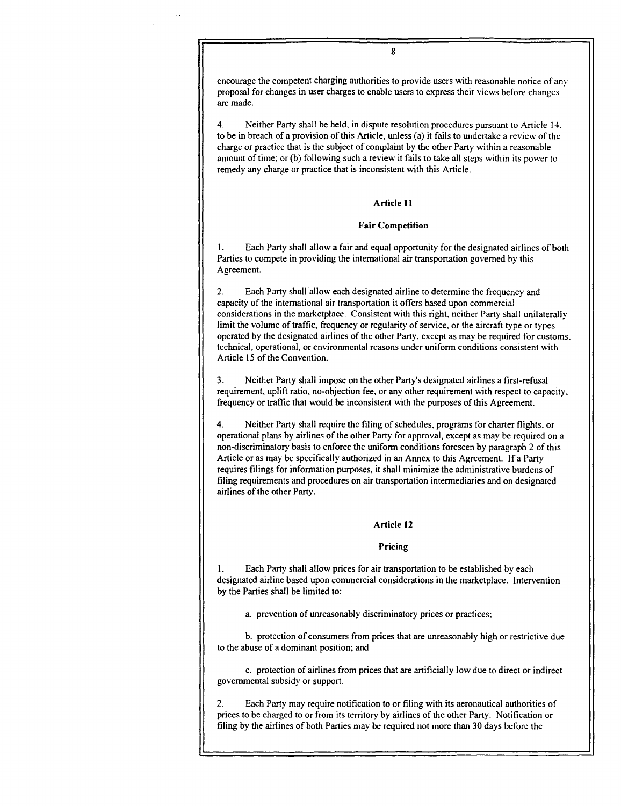encourage the competent charging authorities to provide users with reasonable notice of any proposal for changes in user charges to enable users to express their views before changes are made .

8

4 . Neither Party shall be held, in dispute resolution procedures pursuant to Article 14, to be in breach of a provision of this Article, unless (a) it fails to undertake a review of the charge or practice that is the subject of complaint by the other Party within a reasonable amount of time; or (b) following such a review it fails to take all steps within its power to remedy any charge or practice that is inconsistent with this Article .

# Article 11

# Fair Competition

1 . Each Party shall allow a fair and equal opportunity for the designated airlines of both Parties to compete in providing the international air transportation governed by this Agreement.

2. Each Party shall allow each designated airline to determine the frequency and capacity of the international air transportation it offers based upon commercial considerations in the marketplace. Consistent with this right, neither Party shall unilaterally limit the volume of traffic, frequency or regularity of service, or the aircraft type or types operated by the designated airlines of the other Party, except as may be required for customs . technical, operational, or environmental reasons under uniform conditions consistent with Article 15 of the Convention.

3 . Neither Party shall impose on the other Party's designated airlines a first-refusal requirement, uplift ratio, no-objection fee, or any other requirement with respect to capacity, frequency or traffic that would be inconsistent with the purposes of this Agreement.

 $4.$ Neither Party shall require the filing of schedules, programs for charter flights, or operational plans by airlines of the other Party for approval, except as may be required on a non-discriminatory basis to enforce the uniform conditions foreseen by paragraph 2 of this Article or as may be specifically authorized in an Annex to this Agreement. If a Party requires filings for information purposes, it shall minimize the administrative burdens of filing requirements and procedures on air transportation intermediaries and on designated airlines of the other Party.

#### Article 12

### Pricing

**1**. Each Party shall allow prices for air transportation to be established by each designated airline based upon commercial considerations in the marketplace . Intervention by the Parties shall be limited to:

a. prevention of unreasonably discriminatory prices or practices ;

b. protection of consumers from prices that are unreasonably high or restrictive due to the abuse of a dominant position; and

c. protection of airlines from prices that are artificially low due to direct or indirect governmental subsidy or support.

2 . Each Party may require notification to or filing with its aeronautical authorities of prices to be charged to or from its territory by airlines of the other Party . Notification or filing by the airlines of both Parties may be required not more than 30 days before the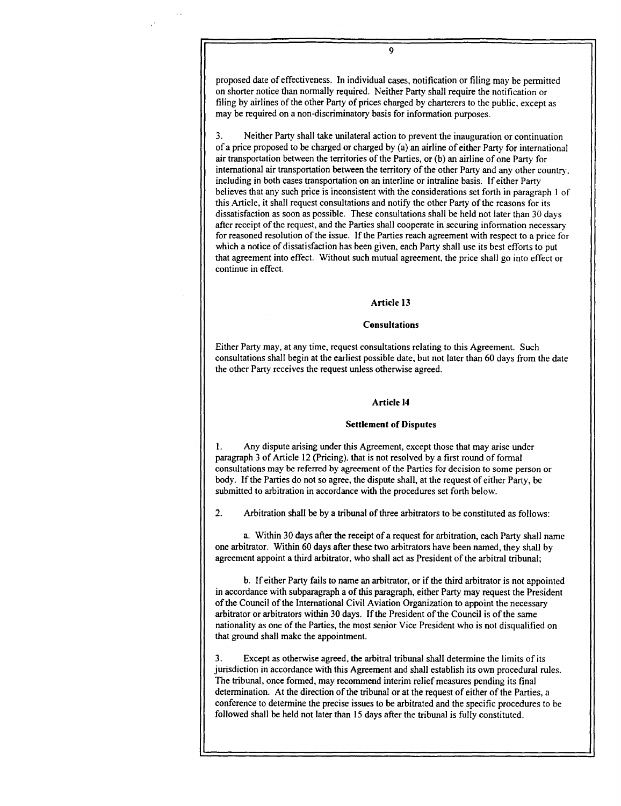proposed date of effectiveness. In individual cases, notification or filing may be permitted on shorter notice than normally required . Neither Party shall require the notification or filing by airlines of the other Party of prices charged by charterers to the public, except as may be required on a non-discriminatory basis for information purposes .

9

3. Neither Party shall take unilateral action to prevent the inauguration or continuation of a price proposed to be charged or charged by (a) an airline of either Party for international air transportation between the territories of the Parties, or (b) an airline of one Party for international air transportation between the territory of the other Party and any other country, including in both cases transportation on an interline or intraline basis. If either Party believes that any such price is inconsistent with the considerations set forth in paragraph I of this Article, it shall request consultations and notify the other Party of the reasons for its dissatisfaction as soon as possible. These consultations shall be held not later than 30 days after receipt of the request, and the Parties shall cooperate in securing information necessary for reasoned resolution of the issue . If the Parties reach agreement with respect to a price for which a notice of dissatisfaction has been given, each Party shall use its best efforts to put that agreement into effect. Without such mutual agreement, the price shall go into effect or continue in effect.

# Article 13

## Consultations

Either Party may, at any time, request consultations relating to this Agreement. Such consultations shall begin at the earliest possible date, but not later than 60 days from the date the other Party receives the request unless otherwise agreed.

#### Article 14

#### Settlement of Disputes

 $\mathbf{1}$ Any dispute arising under this Agreement, except those that may arise under paragraph 3 of Article 12 (Pricing), that is not resolved by a first round of formal consultations may be referred by agreement of the Parties for decision to some person or body. If the Parties do not so agree, the dispute shall, at the request of either Party, be submitted to arbitration in accordance with the procedures set forth below.

2. Arbitration shall be by a tribunal of three arbitrators to be constituted as follows :

a. Within 30 days after the receipt of a request for arbitration, each Party shall name one arbitrator. Within 60 days after these two arbitrators have been named, they shall by agreement appoint a third arbitrator, who shall act as President of the arbitral tribunal;

b . If either Party fails to name an arbitrator, or if the third arbitrator is not appointed in accordance with subparagraph a of this paragraph, either Party may request the President of the Council of the International Civil Aviation Organization to appoint the necessary arbitrator or arbitrators within 30 days . If the President of the Council is of the same nationality as one of the Parties, the most senior Vice President who is not disqualified on that ground shall make the appointment.

3 . Except as otherwise agreed, the arbitral tribunal shall determine the limits of its jurisdiction in accordance with this Agreement and shall establish its own procedural rules . The tribunal, once formed, may recommend interim relief measures pending its final determination. At the direction of the tribunal or at the request of either of the Parties, a conference to determine the precise issues to be arbitrated and the specific procedures to be followed shall be held not later than 15 days after the tribunal is fully constituted .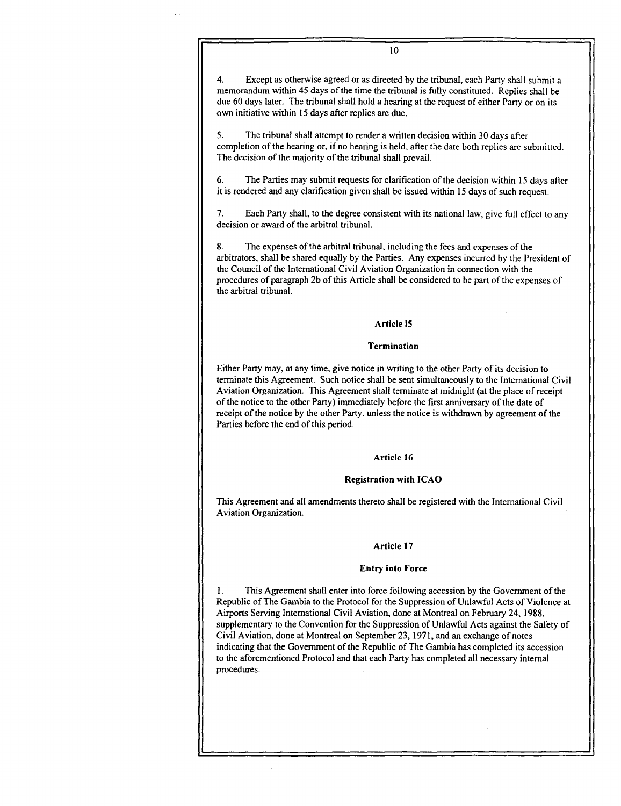4. Except as otherwise agreed or as directed by the tribunal, each Party shall submit a memorandum within 45 days of the time the tribunal is fully constituted . Replies shall be due 60 days later. The tribunal shall hold a hearing at the request of either Party or on its own initiative within 15 days after replies are due .

5. The tribunal shall attempt to render a written decision within 30 days after completion of the hearing or, if no hearing is held, after the date both replies are submitted . The decision of the majority of the tribunal shall prevail.

6. The Parties may submit requests for clarification of the decision within 15 days after it is rendered and any clarification given shall be issued within 15 days of such request.

7. Each Party shall, to the degree consistent with its national law, give full effect to any decision or award of the arbitral tribunal.

8 . The expenses of the arbitral tribunal, including the fees and expenses of the arbitrators, shall be shared equally by the Parties . Any expenses incurred by the President of the Council of the International Civil Aviation Organization in connection with the procedures of paragraph 2b of this Article shall be considered to be part of the expenses of the arbitral tribunal.

### Article 15

## Termination

Either Party may, at any time, give notice in writing to the other Party of its decision to terminate this Agreement. Such notice shall be sent simultaneously to the International Civil Aviation Organization. This Agreement shall terminate at midnight (at the place of receipt of the notice to the other Party) immediately before the first anniversary of the date of receipt of the notice by the other Party, unless the notice is withdrawn by agreement of the Parties before the end of this period.

## Article 16

#### Registration with ICAO

This Agreement and all amendments thereto shall be registered with the International Civil Aviation Organization.

#### Article 17

# Entry into Force

 $\mathbf{1}$ . This Agreement shall enter into force following accession by the Government of the Republic of The Gambia to the Protocol for the Suppression of Unlawful Acts of Violence at Airports Serving International Civil Aviation, done at Montreal on February 24, 1988, supplementary to the Convention for the Suppression of Unlawful Acts against the Safety of Civil Aviation, done at Montreal on September 23, 1971, and an exchange of notes indicating that the Government of the Republic of The Gambia has completed its accession to the aforementioned Protocol and that each Party has completed all necessary internal procedures.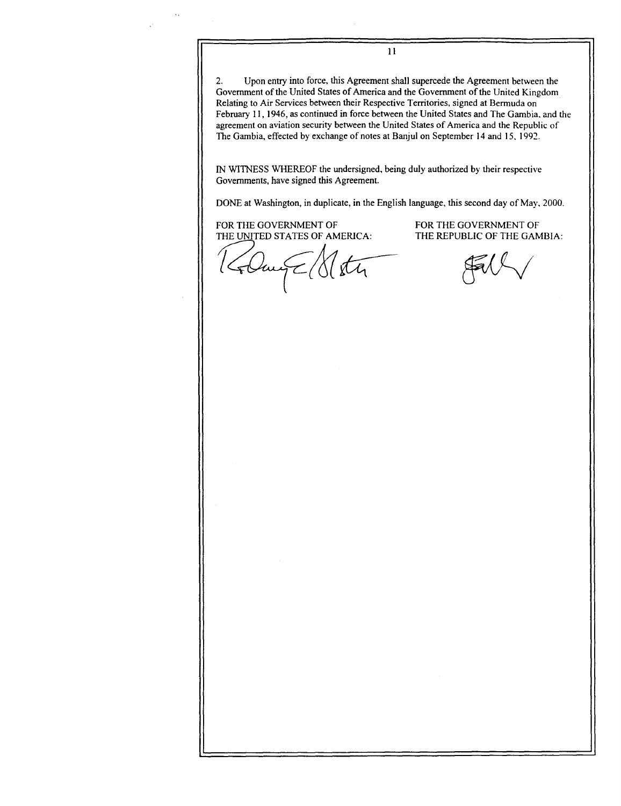$2.$ Upon entry into force, this Agreement shall supercede the Agreement between the Government of the United States of America and the Government of the United Kingdom Relating to Air Services between their Respective Territories, signed at Bermuda on February 11, 1946, as continued in force between the United States and The Gambia, and the agreement on aviation security between the United States of America and the Republic of The Gambia, effected by exchange of notes at Banjul on September 14 and 15, 1992.

IN WITNESS WHEREOF the undersigned, being duly authorized by their respective Governments, have signed this Agreement.

DONE at Washington, in duplicate, in the English language, this second day of May, 2000.

FOR THE GOVERNMENT OF THE UNITED STATES OF AMERICA:

FOR THE GOVERNMENT OF THE REPUBLIC OF THE GAMBIA:

Day E Str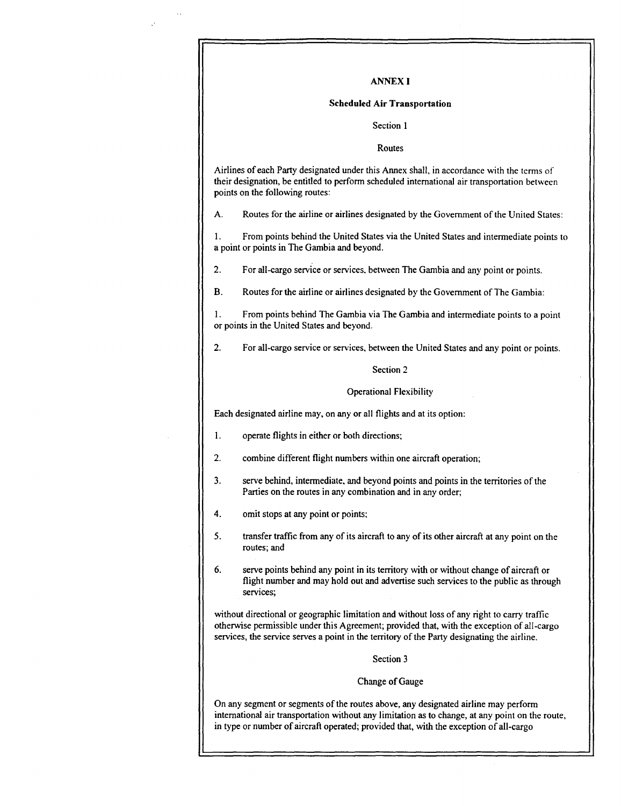# ANNEX I

# Scheduled Air Transportation

Section 1

#### Routes

Airlines of each Party designated under this Annex shall, in accordance with the terms of their designation, be entitled to perform scheduled international air transportation between points on the following routes :

A. Routes for the airline or airlines designated by the Government of the United States :

**1.** From points behind the United States via the United States and intermediate points to a point or points in The Gambia and beyond.

 $2.$ For all-cargo service or services, between The Gambia and any point or points .

B. Routes for the airline or airlines designated by the Government of The Gambia :

1. From points behind The Gambia via The Gambia and intermediate points to a point or points in the United States and beyond.

 $2.$ For all-cargo service or services, between the United States and any point or points .

# Section 2

## Operational Flexibility

Each designated airline may, on any or all flights and at its option :

- $\mathbf{1}$ . operate flights in either or both directions;
- 2 . combine different flight numbers within one aircraft operation;
- 3 . serve behind, intermediate, and beyond points and points in the territories of the Parties on the routes in any combination and in any order;
- $4.$ omit stops at any point or points;
- 5 . transfer traffic from any of its aircraft to any of its other aircraft at any point on the routes; and
- 6. serve points behind any point in its territory with or without change of aircraft or flight number and may hold out and advertise such services to the public as through services:

without directional or geographic limitation and without loss of any right to carry traffic otherwise permissible under this Agreement; provided that, with the exception of all-cargo services, the service serves a point in the territory of the Party designating the airline .

Section 3

## Change of Gauge

On any segment or segments of the routes above, any designated airline may perform international air transportation without any limitation as to change, at any point on the route, in type or number of aircraft operated; provided that, with the exception of all-cargo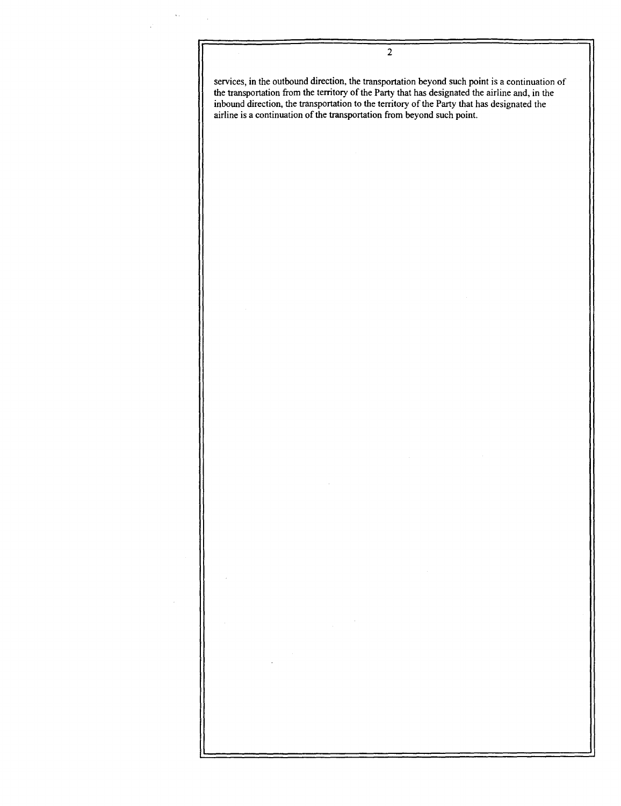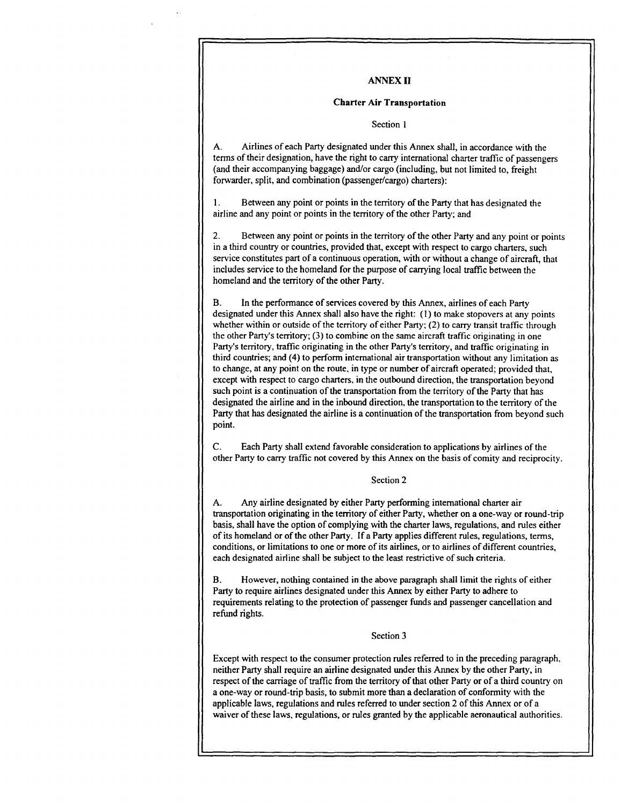# ANNEX H

# Charter Air Transportation

Section 1

A. Airlines of each Party designated under this Annex shall, in accordance with the terms of their designation, have the right to carry international charter traffic of passengers (and their accompanying baggage) and/or cargo (including, but not limited to, freight forwarder, split, and combination (passenger/cargo) charters):

1 . Between any point or points in the territory of the Party that has designated the airline and any point or points in the territory of the other Party; and

 $\mathcal{L}$ Between any point or points in the territory of the other Party and any point or points in a third country or countries, provided that, except with respect to cargo charters, such service constitutes part of a continuous operation, with or without a change of aircraft, that includes service to the homeland for the purpose of carrying local traffic between the homeland and the territory of the other Party.

B. In the performance of services covered by this Annex, airlines of each Party designated under this Annex shall also have the right: (1) to make stopovers at any points whether within or outside of the territory of either Party; (2) to carry transit traffic through the other Party's territory; (3) to combine on the same aircraft traffic originating in one Party's territory, traffic originating in the other Party's territory, and traffic originating in third countries ; and (4) to perform international air transportation without any limitation as to change, at any point on the route, in type or number of aircraft operated; provided that, except with respect to cargo charters, in the outbound direction, the transportation beyond such point is a continuation of the transportation from the territory of the Party that has designated the airline and in the inbound direction, the transportation to the territory of the Party that has designated the airline is a continuation of the transportation from beyond such point.

C. Each Party shall extend favorable consideration to applications by airlines of the other Party to carry traffic not covered by this Annex on the basis of comity and reciprocity .

#### Section 2

A. Any airline designated by either Party performing international charter air transportation originating in the territory of either Party, whether on a one-way or round-trip basis, shall have the option of complying with the charter laws, regulations, and rules either of its homeland or of the other Party . If a Party applies different rules, regulations, terms, conditions, or limitations to one or more of its airlines, or to airlines of different countries, each designated airline shall be subject to the least restrictive of such criteria .

 $\bf{B}$ . However, nothing contained in the above paragraph shall limit the rights of either Party to require airlines designated under this Annex by either Party to adhere to requirements relating to the protection of passenger funds and passenger cancellation and refund rights.

## Section 3

Except with respect to the consumer protection rules referred to in the preceding paragraph, neither Party shall require an airline designated under this Annex by the other Party, in respect of the carriage of traffic from the territory of that other Party or of a third country on a one-way or round-trip basis, to submit more than a declaration of conformity with the applicable laws, regulations and rules referred to under section 2 of this Annex or of a waiver of these laws, regulations, or rules granted by the applicable aeronautical authorities.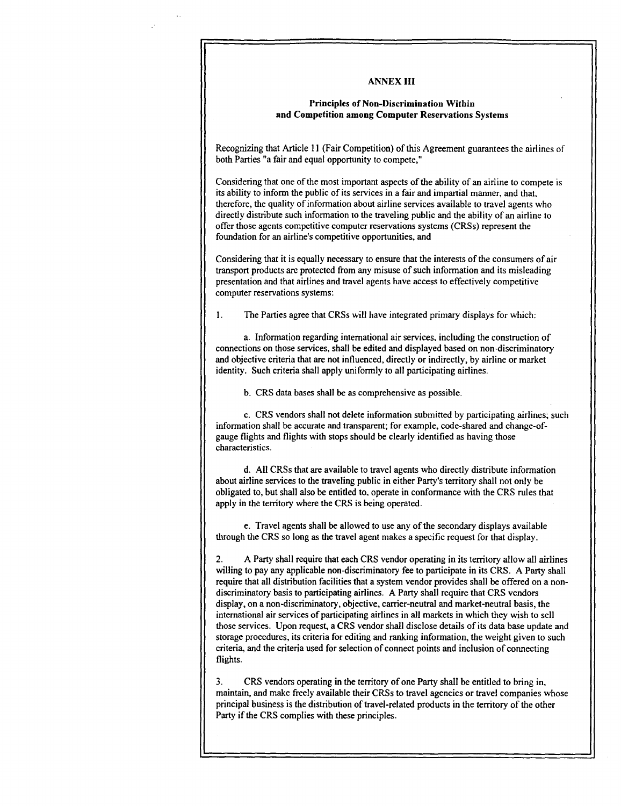# ANNEX III

# Principles of Non-Discrimination Within and Competition among Computer Reservations Systems

Recognizing that Article 11 (Fair Competition) of this Agreement guarantees the airlines of both Parties "a fair and equal opportunity to compete,"

Considering that one of the most important aspects of the ability of an airline to compete is its ability to inform the public of its services in a fair and impartial manner, and that, therefore, the quality of information about airline services available to travel agents who directly distribute such information to the traveling public and the ability of an airline to offer those agents competitive computer reservations systems (CRSs) represent the foundation for an airline's competitive opportunities, and

Considering that it is equally necessary to ensure that the interests of the consumers of air transport products are protected from any misuse of such information and its misleading presentation and that airlines and travel agents have access to effectively competitive computer reservations systems :

I . The Parties agree that CRSs will have integrated primary displays for which:

a. Information regarding international air services, including the construction of connections on those services, shall be edited and displayed based on non-discriminatory and objective criteria that are not influenced, directly or indirectly, by airline or market identity. Such criteria shall apply uniformly to all participating airlines.

b. CRS data bases shall be as comprehensive as possible .

c. CRS vendors shall not delete information submitted by participating airlines; such information shall be accurate and transparent; for example, code-shared and change-ofgauge flights and flights with stops should be clearly identified as having those characteristics .

d. All CRSs that are available to travel agents who directly distribute information about airline services to the traveling public in either Party's territory shall not only be obligated to, but shall also be entitled to, operate in conformance with the CRS rules that apply in the territory where the CRS is being operated .

e. Travel agents shall be allowed to use any of the secondary displays available through the CRS so long as the travel agent makes a specific request for that display .

2. A Party shall require that each CRS vendor operating in its territory allow all airlines willing to pay any applicable non-discriminatory fee to participate in its CRS . A Party shall require that all distribution facilities that a system vendor provides shall be offered on a nondiscriminatory basis to participating airlines . A Party shall require that CRS vendors display, on a non-discriminatory, objective, carrier-neutral and market-neutral basis, the international air services of participating airlines in all markets in which they wish to sell those services . Upon request, a CRS vendor shall disclose details of its data base update and storage procedures, its criteria for editing and ranking information, the weight given to such criteria, and the criteria used for selection of connect points and inclusion of connecting flights.

3 . CRS vendors operating in the territory of one Party shall be entitled to bring in, maintain, and make freely available their CRSs to travel agencies or travel companies whose principal business is the distribution of travel-related products in the territory of the other Party if the CRS complies with these principles .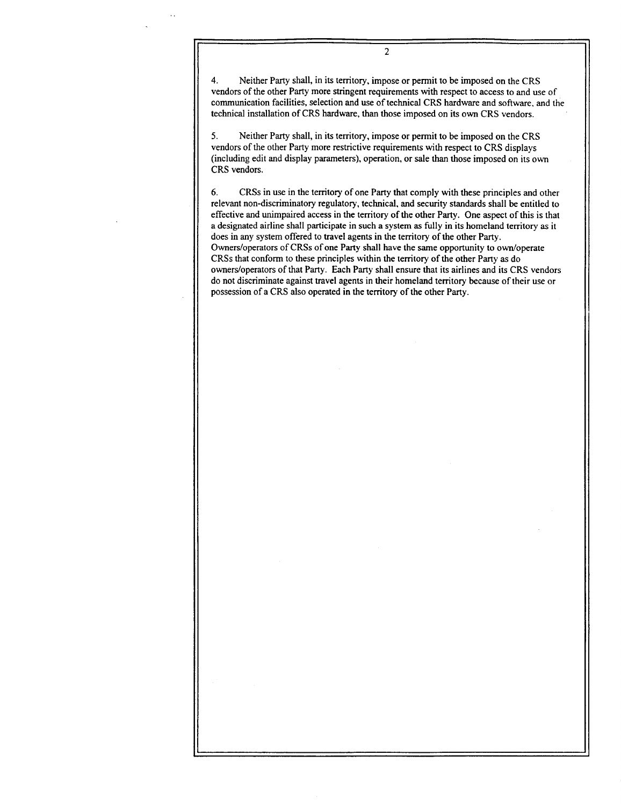2

4. Neither Party shall, in its territory, impose or permit to be imposed on the CRS vendors of the other Party more stringent requirements with respect to access to and use of communication facilities, selection and use of technical CRS hardware and software, and the technical installation of CRS hardware, than those imposed on its own CRS vendors .

5. Neither Party shall, in its territory, impose or permit to be imposed on the CRS vendors of the other Party more restrictive requirements with respect to CRS displays (including edit and display parameters), operation, or sale than those imposed on its own CRS vendors.

6. CRSs in use in the territory of one Party that comply with these principles and other relevant non-discriminatory regulatory, technical, and security standards shall be entitled to effective and unimpaired access in the territory of the other Party . One aspect of this is that a designated airline shall participate in such a system as fully in its homeland territory as it does in any system offered to travel agents in the territory of the other Party. Owners/operators of CRSs of one Party shall have the same opportunity to own/operate CRSs that conform to these principles within the territory of the other Party as do owners/operators of that Party . Each Party shall ensure that its airlines and its CRS vendors do not discriminate against travel agents in their homeland territory because of their use or possession of a CRS also operated in the territory of the other Party .